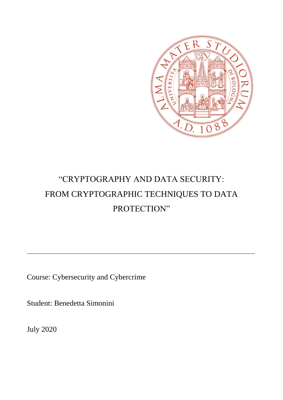

# "CRYPTOGRAPHY AND DATA SECURITY: FROM CRYPTOGRAPHIC TECHNIQUES TO DATA PROTECTION"

\_\_\_\_\_\_\_\_\_\_\_\_\_\_\_\_\_\_\_\_\_\_\_\_\_\_\_\_\_\_\_\_\_\_\_\_\_\_\_\_\_\_\_\_\_\_\_\_\_\_\_\_\_\_\_\_\_\_\_\_\_\_\_\_\_\_\_\_\_\_\_\_\_\_\_\_\_\_\_\_

Course: Cybersecurity and Cybercrime

Student: Benedetta Simonini

July 2020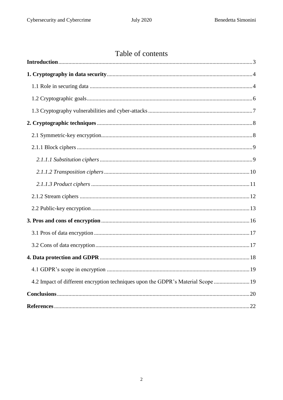## Table of contents

| 4.2 Impact of different encryption techniques upon the GDPR's Material Scope  19 |  |
|----------------------------------------------------------------------------------|--|
|                                                                                  |  |
|                                                                                  |  |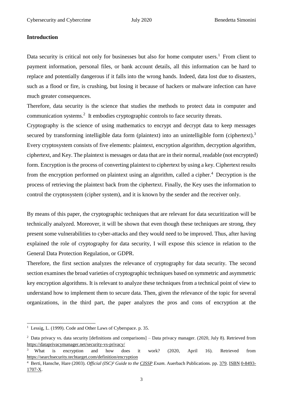#### <span id="page-2-0"></span>**Introduction**

Data security is critical not only for businesses but also for home computer users.<sup>1</sup> From client to payment information, personal files, or bank account details, all this information can be hard to replace and potentially dangerous if it falls into the wrong hands. Indeed, data lost due to disasters, such as a flood or fire, is crushing, but losing it because of hackers or malware infection can have much greater consequences.

Therefore, data security is the science that studies the methods to protect data in computer and communication systems.<sup>2</sup> It embodies cryptographic controls to face security threats.

Cryptography is the science of using mathematics to encrypt and decrypt data to keep messages secured by transforming intelligible data form (plaintext) into an unintelligible form (ciphertext).<sup>3</sup> Every cryptosystem consists of five elements: plaintext, encryption algorithm, decryption algorithm, ciphertext, and Key. The plaintext is messages or data that are in their normal, readable (not encrypted) form. Encryption is the process of converting plaintext to ciphertext by using a key. Ciphertext results from the encryption performed on plaintext using an algorithm, called a cipher. <sup>4</sup> Decryption is the process of retrieving the plaintext back from the ciphertext. Finally, the Key uses the information to control the cryptosystem (cipher system), and it is known by the sender and the receiver only.

By means of this paper, the cryptographic techniques that are relevant for data securitization will be technically analyzed. Moreover, it will be shown that even though these techniques are strong, they present some vulnerabilities to cyber-attacks and they would need to be improved. Thus, after having explained the role of cryptography for data security, I will expose this science in relation to the General Data Protection Regulation, or GDPR.

Therefore, the first section analyzes the relevance of cryptography for data security. The second section examines the broad varieties of cryptographic techniques based on symmetric and asymmetric key encryption algorithms. It is relevant to analyze these techniques from a technical point of view to understand how to implement them to secure data. Then, given the relevance of the topic for several organizations, in the third part, the paper analyzes the pros and cons of encryption at the

**.** 

<sup>&</sup>lt;sup>1</sup> Lessig, L. (1999). Code and Other Laws of Cyberspace. p. 35.

 $2$  Data privacy vs. data security [definitions and comparisons] – Data privacy manager. (2020, July 8). Retrieved from <https://dataprivacymanager.net/security-vs-privacy/>

<sup>&</sup>lt;sup>3</sup> What is encryption and how does it work? (2020, April 16). Retrieved from <https://searchsecurity.techtarget.com/definition/encryption>

<sup>4</sup> Berti, Hansche, Hare (2003). *Official (ISC)² Guide to the [CISSP](https://en.wikipedia.org/wiki/CISSP) Exam*. Auerbach Publications. pp. [379.](https://archive.org/details/officialiscguide0000hans/page/379) [ISBN](https://en.wikipedia.org/wiki/ISBN_(identifier)) [0-8493-](https://en.wikipedia.org/wiki/Special:BookSources/0-8493-1707-X) [1707-X.](https://en.wikipedia.org/wiki/Special:BookSources/0-8493-1707-X)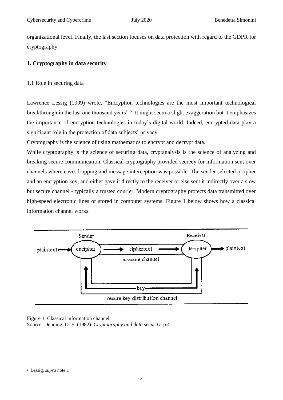organizational level. Finally, the last section focuses on data protection with regard to the GDPR for cryptography.

#### <span id="page-3-0"></span>**1. Cryptography in data security**

#### <span id="page-3-1"></span>1.1 Role in securing data

Lawrence Lessig (1999) wrote, "Encryption technologies are the most important technological breakthrough in the last one thousand years".<sup>5</sup> It might seem a slight exaggeration but it emphasizes the importance of encryption technologies in today's digital world. Indeed, encrypted data play a significant role in the protection of data subjects' privacy.

Cryptography is the science of using mathematics to encrypt and decrypt data.

While cryptography is the science of securing data, cryptanalysis is the science of analyzing and breaking secure communication. Classical cryptography provided secrecy for information sent over channels where eavesdropping and message interception was possible. The sender selected a cipher and an encryption key, and either gave it directly to the receiver or else sent it indirectly over a slow but secure channel - typically a trusted courier. Modern cryptography protects data transmitted over high-speed electronic lines or stored in computer systems. Figure 1 below shows how a classical information channel works.



Figure 1. Classical information channel. Source: Denning, D. E. (1982). *Cryptography and data security*. p.4.

<u>.</u>

<sup>5</sup> Lessig, *supra* note 1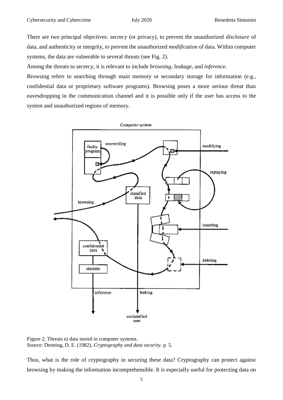There are two principal objectives: secrecy (or privacy), to prevent the unauthorized *disclosure* of data, and authenticity or integrity, to prevent the unauthorized *modification* of data. Within computer systems, the data are vulnerable to several threats (see Fig. 2).

Among the threats to secrecy, it is relevant to include *browsing*, *leakage*, and *inference*.

Browsing refers to searching through main memory or secondary storage for information (e.g., confidential data or proprietary software programs). Browsing poses a more serious threat than eavesdropping in the communication channel and it is possible only if the user has access to the system and unauthorized regions of memory.



Figure 2. Threats to data stored in computer systems. Source: Denning, D. E. (1982), *Cryptography and data security.* p. 5.

Thus, what is the role of cryptography in securing these data? Cryptography can protect against browsing by making the information incomprehensible. It is especially useful for protecting data on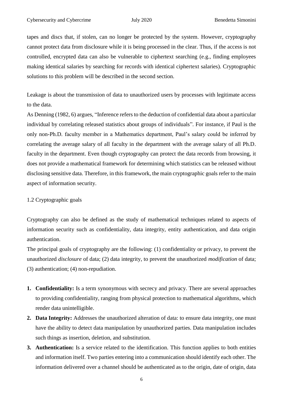tapes and discs that, if stolen, can no longer be protected by the system. However, cryptography cannot protect data from disclosure while it is being processed in the clear. Thus, if the access is not controlled, encrypted data can also be vulnerable to ciphertext searching (e.g., finding employees making identical salaries by searching for records with identical ciphertext salaries). Cryptographic solutions to this problem will be described in the second section.

Leakage is about the transmission of data to unauthorized users by processes with legitimate access to the data.

As Denning (1982, 6) argues, "Inference refers to the deduction of confidential data about a particular individual by correlating released statistics about groups of individuals". For instance, if Paul is the only non-Ph.D. faculty member in a Mathematics department, Paul's salary could be inferred by correlating the average salary of all faculty in the department with the average salary of all Ph.D. faculty in the department. Even though cryptography can protect the data records from browsing, it does not provide a mathematical framework for determining which statistics can be released without disclosing sensitive data. Therefore, in this framework, the main cryptographic goals refer to the main aspect of information security.

#### <span id="page-5-0"></span>1.2 Cryptographic goals

Cryptography can also be defined as the study of mathematical techniques related to aspects of information security such as confidentiality, data integrity, entity authentication, and data origin authentication.

The principal goals of cryptography are the following: (1) confidentiality or privacy, to prevent the unauthorized *disclosure* of data; (2) data integrity, to prevent the unauthorized *modification* of data; (3) authentication; (4) non-repudiation.

- **1. Confidentiality:** Is a term synonymous with secrecy and privacy. There are several approaches to providing confidentiality, ranging from physical protection to mathematical algorithms, which render data unintelligible.
- **2. Data Integrity:** Addresses the unauthorized alteration of data: to ensure data integrity, one must have the ability to detect data manipulation by unauthorized parties. Data manipulation includes such things as insertion, deletion, and substitution.
- **3. Authentication:** Is a service related to the identification. This function applies to both entities and information itself. Two parties entering into a communication should identify each other. The information delivered over a channel should be authenticated as to the origin, date of origin, data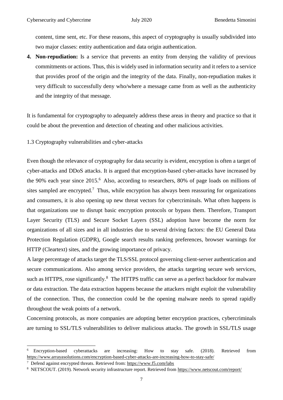content, time sent, etc. For these reasons, this aspect of cryptography is usually subdivided into two major classes: entity authentication and data origin authentication.

**4. Non-repudiation:** Is a service that prevents an entity from denying the validity of previous commitments or actions. Thus, this is widely used in information security and it refers to a service that provides proof of the origin and the integrity of the data. Finally, non-repudiation makes it very difficult to successfully deny who/where a message came from as well as the authenticity and the integrity of that message.

It is fundamental for cryptography to adequately address these areas in theory and practice so that it could be about the prevention and detection of cheating and other malicious activities.

<span id="page-6-0"></span>1.3 Cryptography vulnerabilities and cyber-attacks

Even though the relevance of cryptography for data security is evident, encryption is often a target of cyber-attacks and DDoS attacks. It is argued that encryption-based cyber-attacks have increased by the 90% each year since 2015.<sup>6</sup> Also, according to researchers, 80% of page loads on millions of sites sampled are encrypted.<sup>7</sup> Thus, while encryption has always been reassuring for organizations and consumers, it is also opening up new threat vectors for cybercriminals. What often happens is that organizations use to disrupt basic encryption protocols or bypass them. Therefore, Transport Layer Security (TLS) and Secure Socket Layers (SSL) adoption have become the norm for organizations of all sizes and in all industries due to several driving factors: the EU General Data Protection Regulation (GDPR), Google search results ranking preferences, browser warnings for HTTP (Cleartext) sites, and the growing importance of privacy.

A large percentage of attacks target the TLS/SSL protocol governing client-server authentication and secure communications. Also among service providers, the attacks targeting secure web services, such as HTTPS, rose significantly.<sup>8</sup> The HTTPS traffic can serve as a perfect backdoor for malware or data extraction. The data extraction happens because the attackers might exploit the vulnerability of the connection. Thus, the connection could be the opening malware needs to spread rapidly throughout the weak points of a network.

Concerning protocols, as more companies are adopting better encryption practices, cybercriminals are turning to SSL/TLS vulnerabilities to deliver malicious attacks. The growth in SSL/TLS usage

<sup>7</sup> Defend against encrypted threats. Retrieved from:<https://www.f5.com/labs>

**.** 

<sup>6</sup> Encryption-based cyberattacks are increasing: How to stay safe. (2018). Retrieved from <https://www.arrayasolutions.com/encryption-based-cyber-attacks-are-increasing-how-to-stay-safe/>

<sup>8</sup> NETSCOUT. (2019). Network security infrastructure report. Retrieved from<https://www.netscout.com/report/>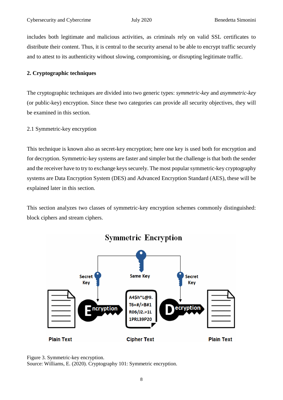includes both legitimate and malicious activities, as criminals rely on valid SSL certificates to distribute their content. Thus, it is central to the security arsenal to be able to encrypt traffic securely and to attest to its authenticity without slowing, compromising, or disrupting legitimate traffic.

#### <span id="page-7-0"></span>**2. Cryptographic techniques**

The cryptographic techniques are divided into two generic types: *symmetric-key* and *asymmetric-key* (or public-key) encryption. Since these two categories can provide all security objectives, they will be examined in this section.

#### <span id="page-7-1"></span>2.1 Symmetric-key encryption

This technique is known also as secret-key encryption; here one key is used both for encryption and for decryption. Symmetric-key systems are faster and simpler but the challenge is that both the sender and the receiver have to try to exchange keys securely. The most popular symmetric-key cryptography systems are Data Encryption System (DES) and Advanced Encryption Standard (AES), these will be explained later in this section.

This section analyzes two classes of symmetric-key encryption schemes commonly distinguished: block ciphers and stream ciphers.





Source: Williams, E. (2020). Cryptography 101: Symmetric encryption.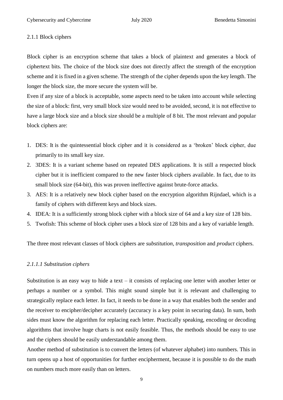#### <span id="page-8-0"></span>2.1.1 Block ciphers

Block cipher is an encryption scheme that takes a block of plaintext and generates a block of ciphertext bits. The choice of the block size does not directly affect the strength of the encryption scheme and it is fixed in a given scheme. The strength of the cipher depends upon the key length. The longer the block size, the more secure the system will be.

Even if any size of a block is acceptable, some aspects need to be taken into account while selecting the size of a block: first, very small block size would need to be avoided, second, it is not effective to have a large block size and a block size should be a multiple of 8 bit. The most relevant and popular block ciphers are:

- 1. DES: It is the quintessential block cipher and it is considered as a 'broken' block cipher, due primarily to its small key size.
- 2. 3DES: It is a variant scheme based on repeated DES applications. It is still a respected block cipher but it is inefficient compared to the new faster block ciphers available. In fact, due to its small block size (64-bit), this was proven ineffective against brute-force attacks.
- 3. AES: It is a relatively new block cipher based on the encryption algorithm Rijndael, which is a family of ciphers with different keys and block sizes.
- 4. IDEA: It is a sufficiently strong block cipher with a block size of 64 and a key size of 128 bits.
- 5. Twofish: This scheme of block cipher uses a block size of 128 bits and a key of variable length.

The three most relevant classes of block ciphers are *substitution*, *transposition* and *product* ciphers.

#### <span id="page-8-1"></span>*2.1.1.1 Substitution ciphers*

Substitution is an easy way to hide a text – it consists of replacing one letter with another letter or perhaps a number or a symbol. This might sound simple but it is relevant and challenging to strategically replace each letter. In fact, it needs to be done in a way that enables both the sender and the receiver to encipher/decipher accurately (accuracy is a key point in securing data). In sum, both sides must know the algorithm for replacing each letter. Practically speaking, encoding or decoding algorithms that involve huge charts is not easily feasible. Thus, the methods should be easy to use and the ciphers should be easily understandable among them.

Another method of substitution is to convert the letters (of whatever alphabet) into numbers. This in turn opens up a host of opportunities for further encipherment, because it is possible to do the math on numbers much more easily than on letters.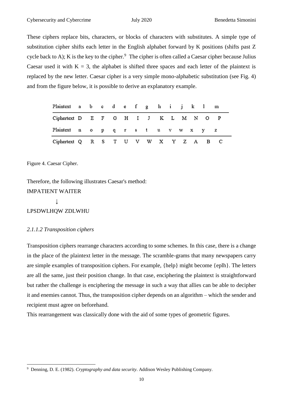These ciphers replace bits, characters, or blocks of characters with substitutes. A simple type of substitution cipher shifts each letter in the English alphabet forward by K positions (shifts past Z cycle back to A); K is the key to the cipher.<sup>9</sup> The cipher is often called a Caesar cipher because Julius Caesar used it with  $K = 3$ , the alphabet is shifted three spaces and each letter of the plaintext is replaced by the new letter. Caesar cipher is a very simple mono-alphabetic substitution (see Fig. 4) and from the figure below, it is possible to derive an explanatory example.

| Plaintext a b c d e f g h i j k 1 m  |  |  |  |  |  |  |  |
|--------------------------------------|--|--|--|--|--|--|--|
| Ciphertext D E F G H I J K L M N O P |  |  |  |  |  |  |  |
| Plaintext no pqrstuvwxyz             |  |  |  |  |  |  |  |
| Ciphertext Q R S T U V W X Y Z A B C |  |  |  |  |  |  |  |

Figure 4. Caesar Cipher.

Therefore, the following illustrates Caesar's method: IMPATIENT WAITER  $\downarrow$ LPSDWLHQW ZDLWHU

#### <span id="page-9-0"></span>*2.1.1.2 Transposition ciphers*

Transposition ciphers rearrange characters according to some schemes. In this case, there is a change in the place of the plaintext letter in the message. The scramble-grams that many newspapers carry are simple examples of transposition ciphers. For example, {help} might become {eplh}. The letters are all the same, just their position change. In that case, enciphering the plaintext is straightforward but rather the challenge is enciphering the message in such a way that allies can be able to decipher it and enemies cannot. Thus, the transposition cipher depends on an algorithm – which the sender and recipient must agree on beforehand.

This rearrangement was classically done with the aid of some types of geometric figures.

<sup>1</sup> <sup>9</sup> Denning, D. E. (1982). *Cryptography and data security*. Addison Wesley Publishing Company.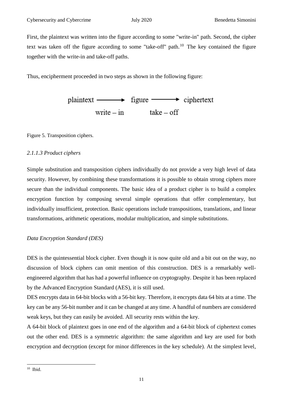First, the plaintext was written into the figure according to some "write-in" path. Second, the cipher text was taken off the figure according to some "take-off" path.<sup>10</sup> The key contained the figure together with the write-in and take-off paths.

Thus, encipherment proceeded in two steps as shown in the following figure:

| $plaintext \longrightarrow figure \longrightarrow ciphertext$ |              |  |
|---------------------------------------------------------------|--------------|--|
| write $-\text{in}$                                            | $take - off$ |  |

Figure 5. Transposition ciphers.

#### <span id="page-10-0"></span>*2.1.1.3 Product ciphers*

Simple substitution and transposition ciphers individually do not provide a very high level of data security. However, by combining these transformations it is possible to obtain strong ciphers more secure than the individual components. The basic idea of a product cipher is to build a complex encryption function by composing several simple operations that offer complementary, but individually insufficient, protection. Basic operations include transpositions, translations, and linear transformations, arithmetic operations, modular multiplication, and simple substitutions.

#### *Data Encryption Standard (DES)*

DES is the quintessential block cipher. Even though it is now quite old and a bit out on the way, no discussion of block ciphers can omit mention of this construction. DES is a remarkably wellengineered algorithm that has had a powerful influence on cryptography. Despite it has been replaced by the Advanced Encryption Standard (AES), it is still used.

DES encrypts data in 64-bit blocks with a 56-bit key. Therefore, it encrypts data 64 bits at a time. The key can be any 56-bit number and it can be changed at any time. A handful of numbers are considered weak keys, but they can easily be avoided. All security rests within the key.

A 64-bit block of plaintext goes in one end of the algorithm and a 64-bit block of ciphertext comes out the other end. DES is a symmetric algorithm: the same algorithm and key are used for both encryption and decryption (except for minor differences in the key schedule). At the simplest level,

<sup>1</sup> <sup>10</sup> Ibid.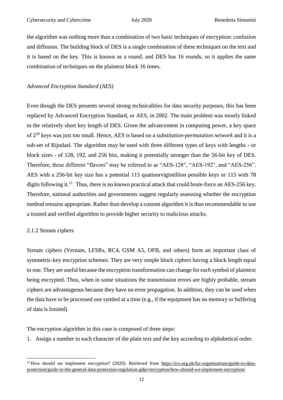the algorithm was nothing more than a combination of two basic techniques of encryption: confusion and diffusion. The building block of DES is a single combination of these techniques on the text and it is based on the key. This is known as a round, and DES has 16 rounds, so it applies the same combination of techniques on the plaintext block 16 times.

#### *Advanced Encryption Standard (AES)*

Even though the DES presents several strong technicalities for data security purposes, this has been replaced by Advanced Encryption Standard, or AES, in 2002. The main problem was mostly linked to the relatively short key length of DES. Given the advancement in computing power, a key space of 2<sup>56</sup> keys was just too small. Hence, AES is based on a *substitution-permutation network* and it is a sub-set of Rijndael. The algorithm may be used with three different types of keys with lengths - or block sizes - of 128, 192, and 256 bits, making it potentially stronger than the 56-bit key of DES. Therefore, these different "flavors" may be referred to as "AES-128", "AES-192", and "AES-256". AES with a 256-bit key size has a potential 115 quattuorvigintillion possible keys or 115 with 78 digits following it.<sup>11</sup> Thus, there is no known practical attack that could brute-force an AES-256 key. Therefore, national authorities and governments suggest regularly assessing whether the encryption method remains appropriate. Rather than develop a custom algorithm it is thus recommendable to use a trusted and verified algorithm to provide higher security to malicious attacks.

#### <span id="page-11-0"></span>2.1.2 Stream ciphers

1

Stream ciphers (Vernam, LFSRs, RC4, GSM A5, OFB, and others) form an important class of symmetric-key encryption schemes. They are very simple block ciphers having a block length equal to one. They are useful because the encryption transformation can change for each symbol of plaintext being encrypted. Thus, when in some situations the transmission errors are highly probable, stream ciphers are advantageous because they have no error propagation. In addition, they can be used when the data have to be processed one symbol at a time (e.g., if the equipment has no memory or buffering of data is limited)

The encryption algorithm in this case is composed of three steps:

1. Assign a number to each character of the plain text and the key according to alphabetical order.

<sup>&</sup>lt;sup>11</sup> How should we implement encryption? (2020). Retrieved from [https://ico.org.uk/for-organisations/guide-to-data](https://ico.org.uk/for-organisations/guide-to-data-protection/guide-to-the-general-data-protection-regulation-gdpr/encryption/how-should-we-implement-encryption/)[protection/guide-to-the-general-data-protection-regulation-gdpr/encryption/how-should-we-implement-encryption/](https://ico.org.uk/for-organisations/guide-to-data-protection/guide-to-the-general-data-protection-regulation-gdpr/encryption/how-should-we-implement-encryption/)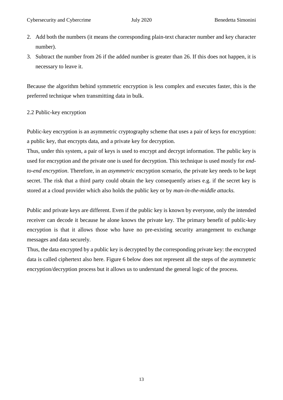- 2. Add both the numbers (it means the corresponding plain-text character number and key character number).
- 3. Subtract the number from 26 if the added number is greater than 26. If this does not happen, it is necessary to leave it.

Because the algorithm behind symmetric encryption is less complex and executes faster, this is the preferred technique when transmitting data in bulk.

#### <span id="page-12-0"></span>2.2 Public-key encryption

Public-key encryption is an asymmetric cryptography scheme that uses a pair of keys for encryption: a public key, that encrypts data, and a private key for decryption.

Thus, under this system, a pair of keys is used to encrypt and decrypt information. The public key is used for encryption and the private one is used for decryption. This technique is used mostly for *endto-end encryption*. Therefore, in an *asymmetric* encryption scenario, the private key needs to be kept secret. The risk that a third party could obtain the key consequently arises e.g. if the secret key is stored at a cloud provider which also holds the public key or by *man-in-the-middle attacks.*

Public and private keys are different. Even if the public key is known by everyone, only the intended receiver can decode it because he alone knows the private key. The primary benefit of public-key encryption is that it allows those who have no pre-existing security arrangement to exchange messages and data securely.

Thus, the data encrypted by a public key is decrypted by the corresponding private key: the encrypted data is called ciphertext also here. Figure 6 below does not represent all the steps of the asymmetric encryption/decryption process but it allows us to understand the general logic of the process.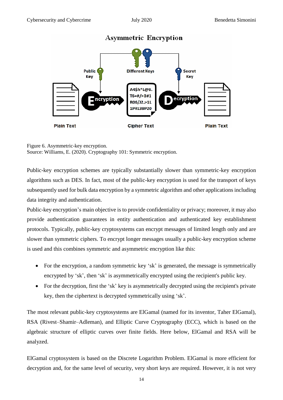

### **Asymmetric Encryption**

Figure 6. Asymmetric-key encryption. Source: Williams, E. (2020). Cryptography 101: Symmetric encryption.

Public-key encryption schemes are typically substantially slower than symmetric-key encryption algorithms such as DES. In fact, most of the public-key encryption is used for the transport of keys subsequently used for bulk data encryption by a symmetric algorithm and other applications including data integrity and authentication.

Public-key encryption's main objective is to provide confidentiality or privacy; moreover, it may also provide authentication guarantees in entity authentication and authenticated key establishment protocols. Typically, public-key cryptosystems can encrypt messages of limited length only and are slower than symmetric ciphers. To encrypt longer messages usually a public-key encryption scheme is used and this combines symmetric and asymmetric encryption like this:

- For the encryption, a random symmetric key 'sk' is generated, the message is symmetrically encrypted by 'sk', then 'sk' is asymmetrically encrypted using the recipient's public key.
- For the decryption, first the 'sk' key is asymmetrically decrypted using the recipient's private key, then the ciphertext is decrypted symmetrically using 'sk'.

The most relevant public-key cryptosystems are ElGamal (named for its inventor, Taher ElGamal), RSA (Rivest–Shamir–Adleman), and Elliptic Curve Cryptography (ECC), which is based on the algebraic structure of elliptic curves over finite fields. Here below, ElGamal and RSA will be analyzed.

ElGamal cryptosystem is based on the Discrete Logarithm Problem. ElGamal is more efficient for decryption and, for the same level of security, very short keys are required. However, it is not very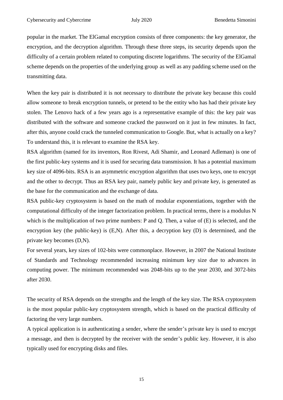popular in the market. The ElGamal encryption consists of three components: the key generator, the encryption, and the decryption algorithm. Through these three steps, its security depends upon the difficulty of a certain problem related to computing [discrete logarithms.](https://en.wikipedia.org/wiki/Discrete_logarithm) The security of the ElGamal scheme depends on the properties of the underlying group as well as any padding scheme used on the transmitting data.

When the key pair is distributed it is not necessary to distribute the private key because this could allow someone to break encryption tunnels, or pretend to be the entity who has had their private key stolen. The Lenovo hack of a few years ago is a representative example of this: the key pair was distributed with the software and someone cracked the password on it just in few minutes. In fact, after this, anyone could crack the tunneled communication to Google. But, what is actually on a key? To understand this, it is relevant to examine the RSA key.

RSA algorithm (named for its inventors, Ron Rivest, Adi Shamir, and Leonard Adleman) is one of the first public-key systems and it is used for securing data transmission. It has a potential maximum key size of 4096-bits. RSA is an asymmetric encryption algorithm that uses two keys, one to encrypt and the other to decrypt. Thus an RSA key pair, namely public key and private key, is generated as the base for the communication and the exchange of data.

RSA public-key cryptosystem is based on the math of modular exponentiations, together with the computational difficulty of the [integer factorization problem.](https://en.wikipedia.org/wiki/RSA_problem) In practical terms, there is a modulus N which is the multiplication of two prime numbers: P and Q. Then, a value of  $(E)$  is selected, and the encryption key (the public-key) is (E,N). After this, a decryption key (D) is determined, and the private key becomes (D,N).

For several years, key sizes of 102-bits were commonplace. However, in 2007 the National Institute of Standards and Technology recommended increasing minimum key size due to advances in computing power. The minimum recommended was 2048-bits up to the year 2030, and 3072-bits after 2030.

The security of RSA depends on the strengths and the length of the key size. The RSA cryptosystem is the most popular public-key cryptosystem strength, which is based on the practical difficulty of factoring the very large numbers.

A typical application is in authenticating a sender, where the sender's private key is used to encrypt a message, and then is decrypted by the receiver with the sender's public key. However, it is also typically used for encrypting disks and files.

15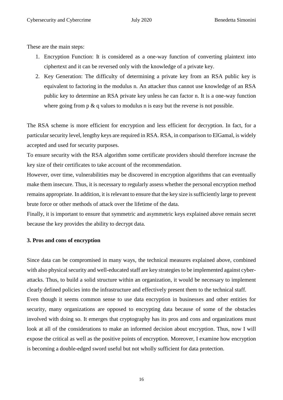These are the main steps:

- 1. Encryption Function: It is considered as a one-way function of converting plaintext into ciphertext and it can be reversed only with the knowledge of a private key.
- 2. Key Generation: The difficulty of determining a private key from an RSA public key is equivalent to factoring in the modulus n. An attacker thus cannot use knowledge of an RSA public key to determine an RSA private key unless he can factor n. It is a one-way function where going from  $p \& q$  values to modulus n is easy but the reverse is not possible.

The RSA scheme is more efficient for encryption and less efficient for decryption. In fact, for a particular security level, lengthy keys are required in RSA. RSA, in comparison to ElGamal, is widely accepted and used for security purposes.

To ensure security with the RSA algorithm some certificate providers should therefore increase the key size of their certificates to take account of the recommendation.

However, over time, vulnerabilities may be discovered in encryption algorithms that can eventually make them insecure. Thus, it is necessary to regularly assess whether the personal encryption method remains appropriate. In addition, it is relevant to ensure that the key size is sufficiently large to prevent brute force or other methods of attack over the lifetime of the data.

Finally, it is important to ensure that symmetric and asymmetric keys explained above remain secret because the key provides the ability to decrypt data.

#### <span id="page-15-0"></span>**3. Pros and cons of encryption**

Since data can be compromised in many ways, the technical measures explained above, combined with also physical security and well-educated staff are key strategies to be implemented against cyberattacks. Thus, to build a solid structure within an organization, it would be necessary to implement clearly defined policies into the infrastructure and effectively present them to the technical staff.

Even though it seems common sense to use data encryption in businesses and other entities for security, many organizations are opposed to encrypting data because of some of the obstacles involved with doing so. It emerges that cryptography has its pros and cons and organizations must look at all of the considerations to make an informed decision about encryption. Thus, now I will expose the critical as well as the positive points of encryption. Moreover, I examine how encryption is becoming a double-edged sword useful but not wholly sufficient for data protection.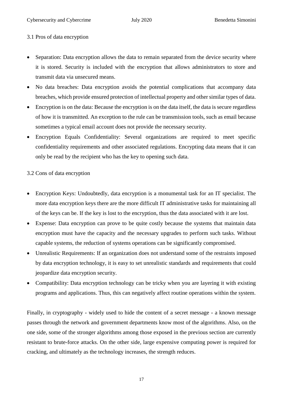#### <span id="page-16-0"></span>3.1 Pros of data encryption

- Separation: Data encryption allows the data to remain separated from the device security where it is stored. Security is included with the encryption that allows administrators to store and transmit data via unsecured means.
- No data breaches: Data encryption avoids the potential complications that accompany data breaches, which provide ensured protection of intellectual property and other similar types of data.
- Encryption is on the data: Because the encryption is on the data itself, the data is secure regardless of how it is transmitted. An exception to the rule can be transmission tools, such as email because sometimes a typical email account does not provide the necessary security.
- Encryption Equals Confidentiality: Several organizations are required to meet specific confidentiality requirements and other associated regulations. Encrypting data means that it can only be read by the recipient who has the key to opening such data.

#### <span id="page-16-1"></span>3.2 Cons of data encryption

- Encryption Keys: Undoubtedly, data encryption is a monumental task for an IT specialist. The more data encryption keys there are the more difficult IT administrative tasks for maintaining all of the keys can be. If the key is lost to the encryption, thus the data associated with it are lost.
- Expense: Data encryption can prove to be quite costly because the systems that maintain data encryption must have the capacity and the necessary upgrades to perform such tasks. Without capable systems, the reduction of systems operations can be significantly compromised.
- Unrealistic Requirements: If an organization does not understand some of the restraints imposed by data encryption technology, it is easy to set unrealistic standards and requirements that could jeopardize data encryption security.
- Compatibility: Data encryption technology can be tricky when you are layering it with existing programs and applications. Thus, this can negatively affect routine operations within the system.

Finally, in cryptography - widely used to hide the content of a secret message - a known message passes through the network and government departments know most of the algorithms. Also, on the one side, some of the stronger algorithms among those exposed in the previous section are currently resistant to brute-force attacks. On the other side, large expensive computing power is required for cracking, and ultimately as the technology increases, the strength reduces.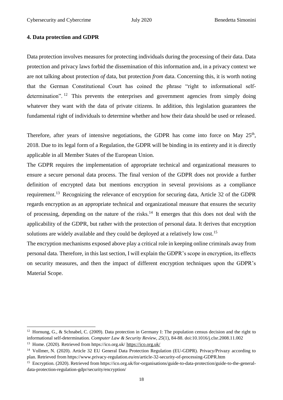#### <span id="page-17-0"></span>**4. Data protection and GDPR**

Data protection involves measures for protecting individuals during the processing of their data. Data protection and privacy laws forbid the dissemination of this information and, in a privacy context we are not talking about protection *of* data, but protection *from* data. Concerning this, it is worth noting that the German Constitutional Court has coined the phrase "right to informational selfdetermination".<sup>12</sup> This prevents the enterprises and government agencies from simply doing whatever they want with the data of private citizens. In addition, this legislation guarantees the fundamental right of individuals to determine whether and how their data should be used or released.

Therefore, after years of intensive negotiations, the GDPR has come into force on May  $25<sup>th</sup>$ , 2018. Due to its legal form of a Regulation, the GDPR will be binding in its entirety and it is directly applicable in all Member States of the European Union.

The GDPR requires the implementation of appropriate technical and organizational measures to ensure a secure personal data process. The final version of the GDPR does not provide a further definition of encrypted data but mentions encryption in several provisions as a compliance requirement.<sup>13</sup> Recognizing the relevance of encryption for securing data, Article 32 of the GDPR regards encryption as an appropriate technical and organizational measure that ensures the security of processing, depending on the nature of the risks.<sup>14</sup> It emerges that this does not deal with the applicability of the GDPR, but rather with the protection of personal data. It derives that encryption solutions are widely available and they could be deployed at a relatively low cost.<sup>15</sup>

The encryption mechanisms exposed above play a critical role in keeping online criminals away from personal data. Therefore, in this last section, I will explain the GDPR's scope in encryption, its effects on security measures, and then the impact of different encryption techniques upon the GDPR's Material Scope.

**.** 

<sup>&</sup>lt;sup>12</sup> Hornung, G., & Schnabel, C. (2009). Data protection in Germany I: The population census decision and the right to informational self-determination. *Computer Law & Security Review*, *25*(1), 84-88. doi:10.1016/j.clsr.2008.11.002

<sup>13</sup> Home. (2020). Retrieved from https://ico.org.uk/ <https://ico.org.uk/>

<sup>&</sup>lt;sup>14</sup> Vollmer, N. (2020). Article 32 EU General Data Protection Regulation (EU-GDPR). Privacy/Privazy according to plan. Retrieved from https://www.privacy-regulation.eu/en/article-32-security-of-processing-GDPR.htm

<sup>15</sup> Encryption. (2020). Retrieved from https://ico.org.uk/for-organisations/guide-to-data-protection/guide-to-the-generaldata-protection-regulation-gdpr/security/encryption/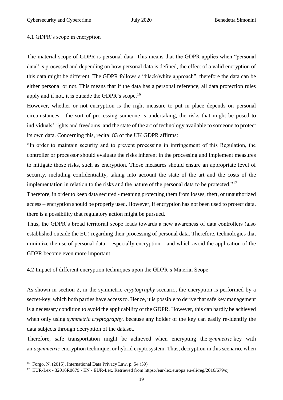#### <span id="page-18-0"></span>4.1 GDPR's scope in encryption

The material scope of GDPR is personal data. This means that the GDPR applies when "personal data" is processed and depending on how personal data is defined, the effect of a valid encryption of this data might be different. The GDPR follows a "black/white approach", therefore the data can be either personal or not. This means that if the data has a personal reference, all data protection rules apply and if not, it is outside the GDPR's scope.<sup>16</sup>

However, whether or not encryption is the right measure to put in place depends on personal circumstances - the sort of processing someone is undertaking, the risks that might be posed to individuals' rights and freedoms, and the state of the art of technology available to someone to protect its own data. Concerning this, recital 83 of the UK GDPR affirms:

"In order to maintain security and to prevent processing in infringement of this Regulation, the controller or processor should evaluate the risks inherent in the processing and implement measures to mitigate those risks, such as encryption. Those measures should ensure an appropriate level of security, including confidentiality, taking into account the state of the art and the costs of the implementation in relation to the risks and the nature of the personal data to be protected."<sup>17</sup>

Therefore, in order to keep data secured - meaning protecting them from losses, theft, or unauthorized access – encryption should be properly used. However, if encryption has not been used to protect data, there is a possibility that regulatory action might be pursued.

Thus, the GDPR's broad territorial scope leads towards a new awareness of data controllers (also established outside the EU) regarding their processing of personal data. Therefore, technologies that minimize the use of personal data – especially encryption – and which avoid the application of the GDPR become even more important.

<span id="page-18-1"></span>4.2 Impact of different encryption techniques upon the GDPR's Material Scope

As shown in section 2, in the symmetric *cryptography* scenario, the encryption is performed by a secret-key, which both parties have access to. Hence, it is possible to derive that safe key management is a necessary condition to avoid the applicability of the GDPR. However, this can hardly be achieved when only using *symmetric cryptography*, because any holder of the key can easily re-identify the data subjects through decryption of the dataset.

Therefore, safe transportation might be achieved when encrypting the *symmetric* key with an *asymmetric* encryption technique, or hybrid cryptosystem. Thus, decryption in this scenario, when

**.** 

<sup>16</sup> Forgo, N. (2015), International Data Privacy Law, p. 54 (59)

<sup>17</sup> EUR-Lex - 32016R0679 - EN - EUR-Lex. Retrieved from https://eur-lex.europa.eu/eli/reg/2016/679/oj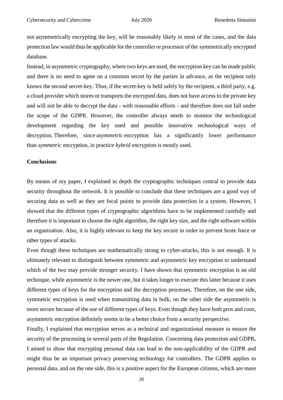not asymmetrically encrypting the key, will be reasonably likely in most of the cases, and the data protection law would thus be applicable for the controller or processor of the symmetrically encrypted database.

Instead, in asymmetric cryptography, where two keys are used, the encryption key can be made public and there is no need to agree on a common secret by the parties in advance, as the recipient only knows the second secret-key. Thus, if the secret-key is held safely by the recipient, a third party, e.g. a cloud provider which stores or transports the encrypted data, does not have access to the private key and will not be able to decrypt the data - with reasonable efforts - and therefore does not fall under the scope of the GDPR. However, the controller always needs to monitor the technological development regarding the key used and possible innovative technological ways of decryption. Therefore, since *asymmetric* encryption has a significantly lower performance than *symmetric* encryption, in practice *hybrid* encryption is mostly used.

#### <span id="page-19-0"></span>**Conclusions**

By means of my paper, I explained in depth the cryptographic techniques central to provide data security throughout the network. It is possible to conclude that these techniques are a good way of securing data as well as they are focal points to provide data protection in a system. However, I showed that the different types of cryptographic algorithms have to be implemented carefully and therefore it is important to choose the right algorithm, the right key size, and the right software within an organization. Also, it is highly relevant to keep the key secure in order to prevent brute force or other types of attacks.

Even though these techniques are mathematically strong to cyber-attacks, this is not enough. It is ultimately relevant to distinguish between symmetric and asymmetric key encryption to understand which of the two may provide stronger security. I have shown that symmetric encryption is an old technique, while asymmetric is the newer one, but it takes longer to execute this latter because it uses different types of keys for the encryption and the decryption processes. Therefore, on the one side, symmetric encryption is used when transmitting data in bulk, on the other side the asymmetric is more secure because of the use of different types of keys. Even though they have both pros and cons, asymmetric encryption definitely seems to be a better choice from a security perspective.

Finally, I explained that encryption serves as a technical and organizational measure to ensure the security of the processing in several parts of the Regulation. Concerning data protection and GDPR, I aimed to show that encrypting personal data can lead to the non-applicability of the GDPR and might thus be an important privacy preserving technology for controllers. The GDPR applies to personal data, and on the one side, this is a positive aspect for the European citizens, which are more

20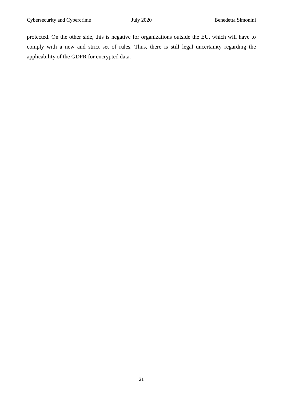protected. On the other side, this is negative for organizations outside the EU, which will have to comply with a new and strict set of rules. Thus, there is still legal uncertainty regarding the applicability of the GDPR for encrypted data.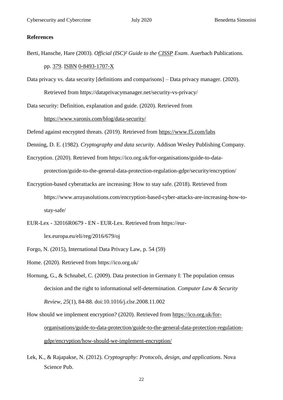#### <span id="page-21-0"></span>**References**

Berti, Hansche, Hare (2003). *Official (ISC)² Guide to the [CISSP](https://en.wikipedia.org/wiki/CISSP) Exam*. Auerbach Publications.

#### pp. [379.](https://archive.org/details/officialiscguide0000hans/page/379) [ISBN](https://en.wikipedia.org/wiki/ISBN_(identifier)) [0-8493-1707-X](https://en.wikipedia.org/wiki/Special:BookSources/0-8493-1707-X)

Data privacy vs. data security [definitions and comparisons] – Data privacy manager. (2020). Retrieved from https://dataprivacymanager.net/security-vs-privacy/

Data security: Definition, explanation and guide. (2020). Retrieved from

#### <https://www.varonis.com/blog/data-security/>

Defend against encrypted threats. (2019). Retrieved from<https://www.f5.com/labs>

Denning, D. E. (1982). *Cryptography and data security*. Addison Wesley Publishing Company.

- Encryption. (2020). Retrieved from https://ico.org.uk/for-organisations/guide-to-dataprotection/guide-to-the-general-data-protection-regulation-gdpr/security/encryption/
- Encryption-based cyberattacks are increasing: How to stay safe. (2018). Retrieved from https://www.arrayasolutions.com/encryption-based-cyber-attacks-are-increasing-how-tostay-safe/
- EUR-Lex 32016R0679 EN EUR-Lex. Retrieved from https://eur-

lex.europa.eu/eli/reg/2016/679/oj

Forgo, N. (2015), International Data Privacy Law, p. 54 (59)

Home. (2020). Retrieved from https://ico.org.uk/

Hornung, G., & Schnabel, C. (2009). Data protection in Germany I: The population census decision and the right to informational self-determination. *Computer Law & Security Review*, *25*(1), 84-88. doi:10.1016/j.clsr.2008.11.002

How should we implement encryption? (2020). Retrieved from [https://ico.org.uk/for](https://ico.org.uk/for-organisations/guide-to-data-protection/guide-to-the-general-data-protection-regulation-gdpr/encryption/how-should-we-implement-encryption/)[organisations/guide-to-data-protection/guide-to-the-general-data-protection-regulation](https://ico.org.uk/for-organisations/guide-to-data-protection/guide-to-the-general-data-protection-regulation-gdpr/encryption/how-should-we-implement-encryption/)[gdpr/encryption/how-should-we-implement-encryption/](https://ico.org.uk/for-organisations/guide-to-data-protection/guide-to-the-general-data-protection-regulation-gdpr/encryption/how-should-we-implement-encryption/)

Lek, K., & Rajapakse, N. (2012). *Cryptography: Protocols, design, and applications*. Nova Science Pub.